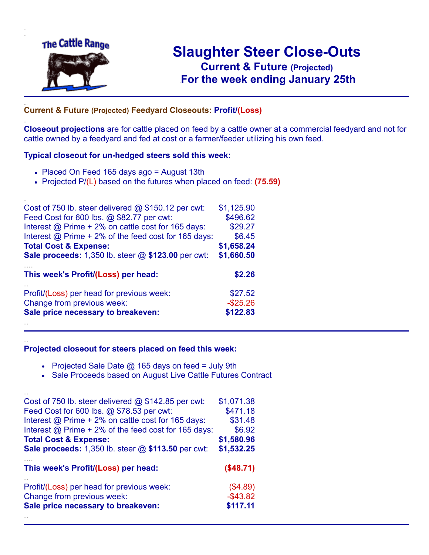

.

..

# **Slaughter Steer Close-Outs Current & Future (Projected)** .**For the week ending January 25th**

## ... **Current & Future (Projected) Feedyard Closeouts: Profit/(Loss)**

**Closeout projections** are for cattle placed on feed by a cattle owner at a commercial feedyard and not for cattle owned by a feedyard and fed at cost or a farmer/feeder utilizing his own feed.

#### **Typical closeout for un-hedged steers sold this week:**

- Placed On Feed 165 days ago = August 13th
- Projected P/(L) based on the futures when placed on feed: **(75.59)**

| Cost of 750 lb. steer delivered @ \$150.12 per cwt:       | \$1,125.90  |
|-----------------------------------------------------------|-------------|
| Feed Cost for 600 lbs. @ \$82.77 per cwt:                 | \$496.62    |
| Interest @ Prime + 2% on cattle cost for 165 days:        | \$29.27     |
| Interest @ Prime + 2% of the feed cost for 165 days:      | \$6.45      |
| <b>Total Cost &amp; Expense:</b>                          | \$1,658.24  |
| <b>Sale proceeds:</b> 1,350 lb. steer @ \$123.00 per cwt: | \$1,660.50  |
|                                                           |             |
| This week's Profit/(Loss) per head:                       | \$2.26      |
| Profit/(Loss) per head for previous week:                 | \$27.52     |
| Change from previous week:                                | $-$ \$25.26 |
| Sale price necessary to breakeven:                        | \$122.83    |

#### **Projected closeout for steers placed on feed this week:**

- Projected Sale Date  $@$  165 days on feed = July 9th
- Sale Proceeds based on August Live Cattle Futures Contract

| Cost of 750 lb. steer delivered $@$ \$142.85 per cwt:     | \$1,071.38  |
|-----------------------------------------------------------|-------------|
| Feed Cost for 600 lbs. @ \$78.53 per cwt:                 | \$471.18    |
| Interest @ Prime + 2% on cattle cost for 165 days:        | \$31.48     |
| Interest @ Prime + 2% of the feed cost for 165 days:      | \$6.92      |
| <b>Total Cost &amp; Expense:</b>                          | \$1,580.96  |
| <b>Sale proceeds:</b> 1,350 lb. steer @ \$113.50 per cwt: | \$1,532.25  |
|                                                           |             |
| This week's Profit/(Loss) per head:                       | (\$48.71)   |
| Profit/(Loss) per head for previous week:                 | (\$4.89)    |
| Change from previous week:                                | $-$ \$43.82 |
| Sale price necessary to breakeven:                        | \$117.11    |